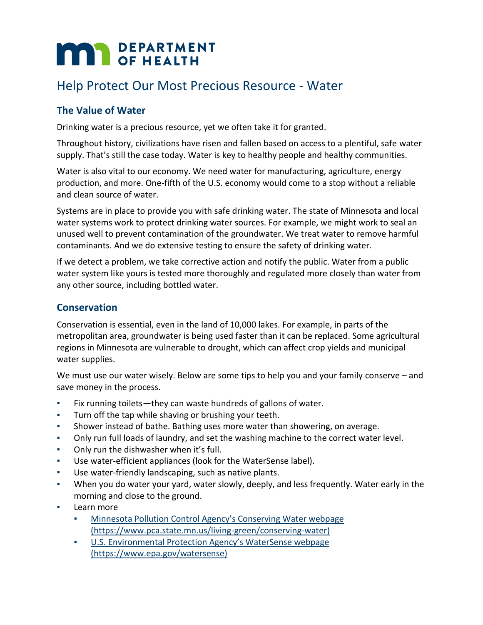# **MAN** DEPARTMENT

# Help Protect Our Most Precious Resource - Water

# **The Value of Water**

Drinking water is a precious resource, yet we often take it for granted.

Throughout history, civilizations have risen and fallen based on access to a plentiful, safe water supply. That's still the case today. Water is key to healthy people and healthy communities.

Water is also vital to our economy. We need water for manufacturing, agriculture, energy production, and more. One-fifth of the U.S. economy would come to a stop without a reliable and clean source of water.

Systems are in place to provide you with safe drinking water. The state of Minnesota and local water systems work to protect drinking water sources. For example, we might work to seal an unused well to prevent contamination of the groundwater. We treat water to remove harmful contaminants. And we do extensive testing to ensure the safety of drinking water.

If we detect a problem, we take corrective action and notify the public. Water from a public water system like yours is tested more thoroughly and regulated more closely than water from any other source, including bottled water.

## **Conservation**

Conservation is essential, even in the land of 10,000 lakes. For example, in parts of the metropolitan area, groundwater is being used faster than it can be replaced. Some agricultural regions in Minnesota are vulnerable to drought, which can affect crop yields and municipal water supplies.

We must use our water wisely. Below are some tips to help you and your family conserve – and save money in the process.

- Fix running toilets—they can waste hundreds of gallons of water.
- Turn off the tap while shaving or brushing your teeth.
- Shower instead of bathe. Bathing uses more water than showering, on average.
- Only run full loads of laundry, and set the washing machine to the correct water level.
- **Only run the dishwasher when it's full.**
- Use water-efficient appliances (look for the WaterSense label).
- Use water-friendly landscaping, such as native plants.
- When you do water your yard, water slowly, deeply, and less frequently. Water early in the morning and close to the ground.
- Learn more
	- Minnesota Pollution Control Agency's Conserving Water webpage [\(https://www.pca.state.mn.us/living-green/conserving-water\)](https://www.pca.state.mn.us/living-green/conserving-water)
	- [U.S. Environmental Protection Agency's WaterSense webpage](https://www.epa.gov/watersense)  [\(https://www.epa.gov/watersense\)](https://www.epa.gov/watersense)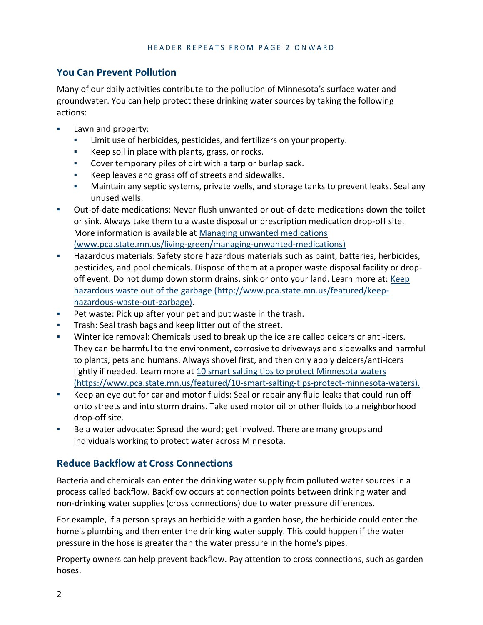## **You Can Prevent Pollution**

Many of our daily activities contribute to the pollution of Minnesota's surface water and groundwater. You can help protect these drinking water sources by taking the following actions:

- Lawn and property:
	- Limit use of herbicides, pesticides, and fertilizers on your property.
	- Keep soil in place with plants, grass, or rocks.
	- Cover temporary piles of dirt with a tarp or burlap sack.
	- Keep leaves and grass off of streets and sidewalks.
	- Maintain any septic systems, private wells, and storage tanks to prevent leaks. Seal any unused wells.
- Out-of-date medications: Never flush unwanted or out-of-date medications down the toilet or sink. Always take them to a waste disposal or prescription medication drop-off site. More information is available at [Managing unwanted medications](http://www.pca.state.mn.us/living-green/managing-unwanted-medications)  [\(www.pca.state.mn.us/living-green/managing-unwanted-medications\)](http://www.pca.state.mn.us/living-green/managing-unwanted-medications)
- Hazardous materials: Safety store hazardous materials such as paint, batteries, herbicides, pesticides, and pool chemicals. Dispose of them at a proper waste disposal facility or dropoff event. Do not dump down storm drains, sink or onto your land. Learn more at: [Keep](http://www.pca.state.mn.us/featured/keep-hazardous-waste-out-garbage)  [hazardous waste out of the garbage \(http://www.pca.state.mn.us/featured/keep](http://www.pca.state.mn.us/featured/keep-hazardous-waste-out-garbage)[hazardous-waste-out-garbage\).](http://www.pca.state.mn.us/featured/keep-hazardous-waste-out-garbage)
- Pet waste: Pick up after your pet and put waste in the trash.
- Trash: Seal trash bags and keep litter out of the street.
- Winter ice removal: Chemicals used to break up the ice are called deicers or anti-icers. They can be harmful to the environment, corrosive to driveways and sidewalks and harmful to plants, pets and humans. Always shovel first, and then only apply deicers/anti-icers lightly if needed. Learn more at [10 smart salting tips to protect Minnesota waters](https://www.pca.state.mn.us/featured/10-smart-salting-tips-protect-minnesota-waters)  [\(https://www.pca.state.mn.us/featured/10-smart-salting-tips-protect-minnesota-waters\).](https://www.pca.state.mn.us/featured/10-smart-salting-tips-protect-minnesota-waters)
- Keep an eye out for car and motor fluids: Seal or repair any fluid leaks that could run off onto streets and into storm drains. Take used motor oil or other fluids to a neighborhood drop-off site.
- Be a water advocate: Spread the word; get involved. There are many groups and individuals working to protect water across Minnesota.

# **Reduce Backflow at Cross Connections**

Bacteria and chemicals can enter the drinking water supply from polluted water sources in a process called backflow. Backflow occurs at connection points between drinking water and non-drinking water supplies (cross connections) due to water pressure differences.

For example, if a person sprays an herbicide with a garden hose, the herbicide could enter the home's plumbing and then enter the drinking water supply. This could happen if the water pressure in the hose is greater than the water pressure in the home's pipes.

Property owners can help prevent backflow. Pay attention to cross connections, such as garden hoses.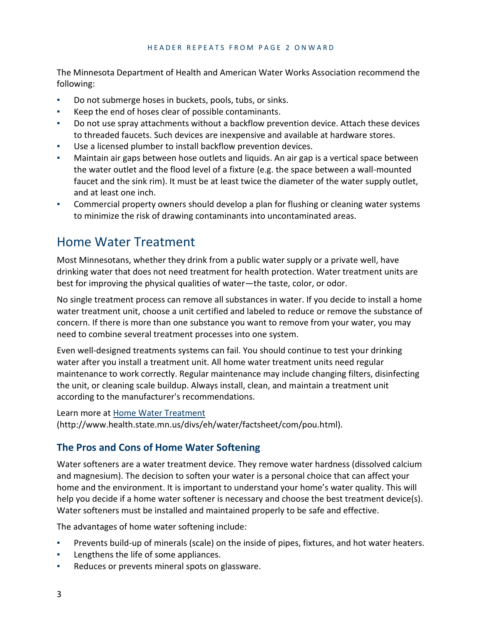#### HEADER REPEATS FROM PAGE 2 ONWARD

The Minnesota Department of Health and American Water Works Association recommend the following:

- Do not submerge hoses in buckets, pools, tubs, or sinks.
- Keep the end of hoses clear of possible contaminants.
- Do not use spray attachments without a backflow prevention device. Attach these devices to threaded faucets. Such devices are inexpensive and available at hardware stores.
- Use a licensed plumber to install backflow prevention devices.
- Maintain air gaps between hose outlets and liquids. An air gap is a vertical space between the water outlet and the flood level of a fixture (e.g. the space between a wall-mounted faucet and the sink rim). It must be at least twice the diameter of the water supply outlet, and at least one inch.
- Commercial property owners should develop a plan for flushing or cleaning water systems to minimize the risk of drawing contaminants into uncontaminated areas.

# Home Water Treatment

Most Minnesotans, whether they drink from a public water supply or a private well, have drinking water that does not need treatment for health protection. Water treatment units are best for improving the physical qualities of water—the taste, color, or odor.

No single treatment process can remove all substances in water. If you decide to install a home water treatment unit, choose a unit certified and labeled to reduce or remove the substance of concern. If there is more than one substance you want to remove from your water, you may need to combine several treatment processes into one system.

Even well-designed treatments systems can fail. You should continue to test your drinking water after you install a treatment unit. All home water treatment units need regular maintenance to work correctly. Regular maintenance may include changing filters, disinfecting the unit, or cleaning scale buildup. Always install, clean, and maintain a treatment unit according to the manufacturer's recommendations.

#### Learn more at [Home Water Treatment](http://www.health.state.mn.us/divs/eh/water/factsheet/com/pou.html)

[\(http://www.health.state.mn.us/divs/eh/water/factsheet/com/pou.html\).](http://www.health.state.mn.us/divs/eh/water/factsheet/com/pou.html)

## **The Pros and Cons of Home Water Softening**

Water softeners are a water treatment device. They remove water hardness (dissolved calcium and magnesium). The decision to soften your water is a personal choice that can affect your home and the environment. It is important to understand your home's water quality. This will help you decide if a home water softener is necessary and choose the best treatment device(s). Water softeners must be installed and maintained properly to be safe and effective.

The advantages of home water softening include:

- Prevents build-up of minerals (scale) on the inside of pipes, fixtures, and hot water heaters.
- Lengthens the life of some appliances.
- Reduces or prevents mineral spots on glassware.